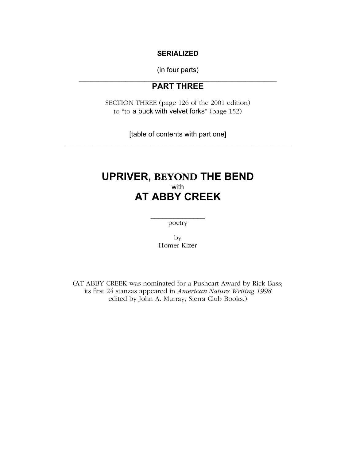#### **SERIALIZED**

(in four parts)  $\mathcal{L}_\text{max}$  and  $\mathcal{L}_\text{max}$  and  $\mathcal{L}_\text{max}$  and  $\mathcal{L}_\text{max}$ 

# **PART THREE**

SECTION THREE (page 126 of the 2001 edition) to "to a buck with velvet forks" (page 152)

[table of contents with part one] \_\_\_\_\_\_\_\_\_\_\_\_\_\_\_\_\_\_\_\_\_\_\_\_\_\_\_\_\_\_\_\_\_\_\_\_\_\_\_\_\_\_\_\_\_\_\_\_\_\_\_\_\_\_\_\_\_\_

# **UPRIVER, BEYOND THE BEND**  with **AT ABBY CREEK**

 $\frac{1}{2}$ poetry

> by Homer Kizer

(AT ABBY CREEK was nominated for a Pushcart Award by Rick Bass; its first 24 stanzas appeared in *American Nature Writing 1998*  edited by John A. Murray, Sierra Club Books.)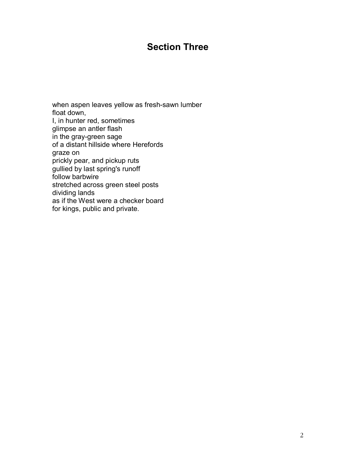# **Section Three**

when aspen leaves yellow as fresh-sawn lumber float down, I, in hunter red, sometimes glimpse an antler flash in the gray-green sage of a distant hillside where Herefords graze on prickly pear, and pickup ruts gullied by last spring's runoff follow barbwire stretched across green steel posts dividing lands as if the West were a checker board for kings, public and private.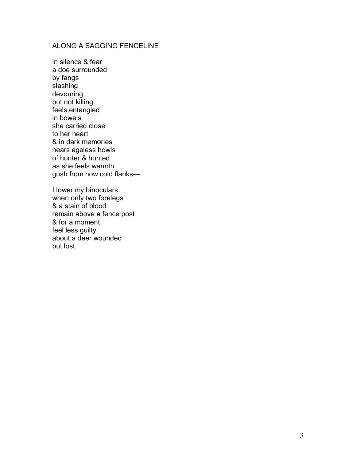# ALONG A SAGGING FENCELINE

in silence & fear a doe surrounded by fangs slashing devouring but not killing feels entangled in bowels she carried close to her heart & in dark memories hears ageless howls of hunter & hunted as she feels warmth gush from now cold flanks-

I lower my binoculars when only two forelegs & a stain of blood remain above a fence post & for a moment feel less guilty about a deer wounded but lost.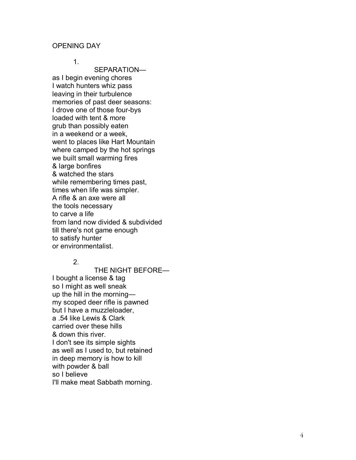### OPENING DAY

1.

SEPARATIONas I begin evening chores I watch hunters whiz pass leaving in their turbulence memories of past deer seasons: I drove one of those four-bys loaded with tent & more grub than possibly eaten in a weekend or a week, went to places like Hart Mountain where camped by the hot springs we built small warming fires & large bonfires & watched the stars while remembering times past, times when life was simpler. A rifle & an axe were all the tools necessary to carve a life from land now divided & subdivided till there's not game enough to satisfy hunter or environmentalist.

#### 2.

THE NIGHT BEFORE-I bought a license & tag so I might as well sneak up the hill in the morningmy scoped deer rifle is pawned but I have a muzzleloader, a .54 like Lewis & Clark carried over these hills & down this river. I don't see its simple sights as well as I used to, but retained in deep memory is how to kill with powder & ball so I believe I'll make meat Sabbath morning.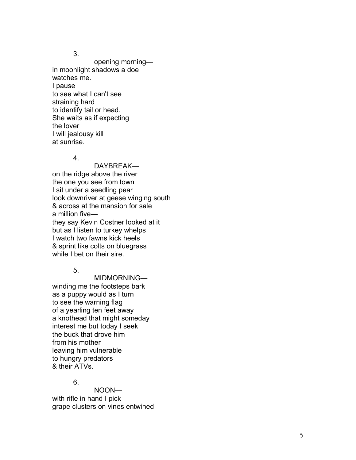3.

opening morningin moonlight shadows a doe watches me. I pause to see what I can't see straining hard to identify tail or head. She waits as if expecting the lover I will jealousy kill at sunrise.

### 4.

DAYBREAKon the ridge above the river the one you see from town I sit under a seedling pear look downriver at geese winging south & across at the mansion for sale  $a$  million five $$ they say Kevin Costner looked at it but as I listen to turkey whelps I watch two fawns kick heels & sprint like colts on bluegrass while I bet on their sire.

5.

MIDMORNINGwinding me the footsteps bark as a puppy would as I turn to see the warning flag of a yearling ten feet away a knothead that might someday interest me but today I seek the buck that drove him from his mother leaving him vulnerable to hungry predators & their ATVs.

# 6.

NOONwith rifle in hand I pick grape clusters on vines entwined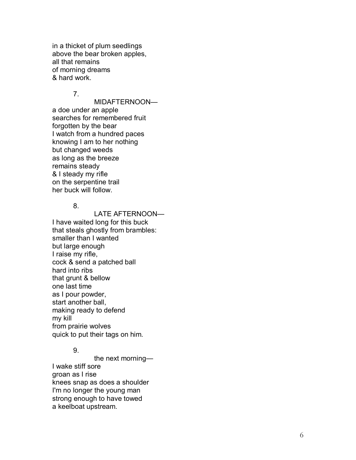in a thicket of plum seedlings above the bear broken apples, all that remains of morning dreams & hard work.

#### 7.

MIDAFTERNOON-

a doe under an apple searches for remembered fruit forgotten by the bear I watch from a hundred paces knowing I am to her nothing but changed weeds as long as the breeze remains steady & I steady my rifle on the serpentine trail her buck will follow.

#### 8.

LATE AFTERNOON-I have waited long for this buck that steals ghostly from brambles: smaller than I wanted but large enough I raise my rifle, cock & send a patched ball hard into ribs that grunt & bellow one last time as I pour powder, start another ball, making ready to defend my kill from prairie wolves quick to put their tags on him.

## 9.

the next morning $-$ I wake stiff sore groan as I rise knees snap as does a shoulder I'm no longer the young man strong enough to have towed a keelboat upstream.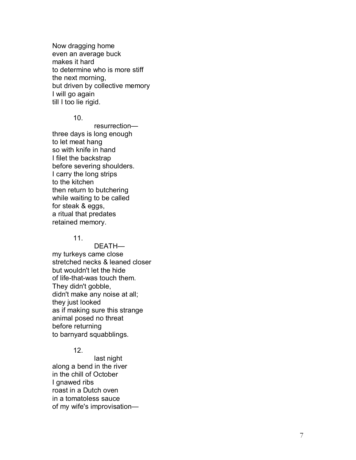Now dragging home even an average buck makes it hard to determine who is more stiff the next morning, but driven by collective memory I will go again till I too lie rigid.

10.

resurrectionthree days is long enough to let meat hang so with knife in hand I filet the backstrap before severing shoulders. I carry the long strips to the kitchen then return to butchering while waiting to be called for steak & eggs, a ritual that predates retained memory.

#### 11.

DEATHmy turkeys came close stretched necks & leaned closer but wouldn't let the hide of life-that-was touch them. They didn't gobble, didn't make any noise at all; they just looked as if making sure this strange animal posed no threat before returning to barnyard squabblings.

### 12.

 last night along a bend in the river in the chill of October I gnawed ribs roast in a Dutch oven in a tomatoless sauce of my wife's improvisation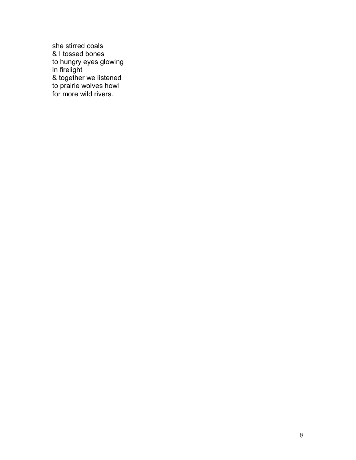she stirred coals & I tossed bones to hungry eyes glowing in firelight & together we listened to prairie wolves howl for more wild rivers.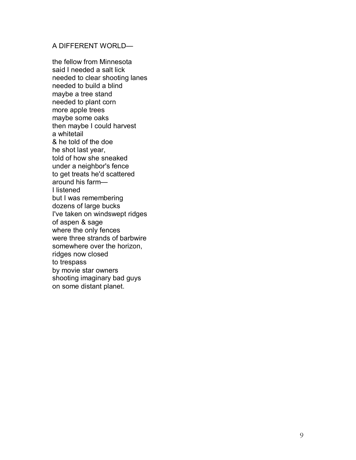## A DIFFERENT WORLD-

the fellow from Minnesota said I needed a salt lick needed to clear shooting lanes needed to build a blind maybe a tree stand needed to plant corn more apple trees maybe some oaks then maybe I could harvest a whitetail & he told of the doe he shot last year, told of how she sneaked under a neighbor's fence to get treats he'd scattered around his farm $-$ I listened but I was remembering dozens of large bucks I've taken on windswept ridges of aspen & sage where the only fences were three strands of barbwire somewhere over the horizon, ridges now closed to trespass by movie star owners shooting imaginary bad guys on some distant planet.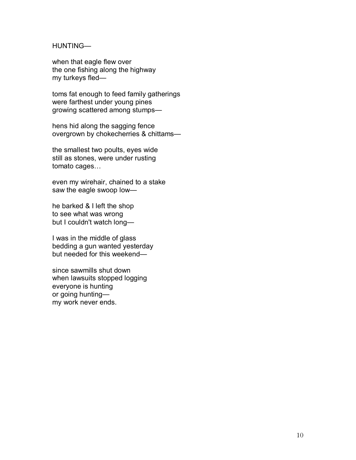HUNTING-

when that eagle flew over the one fishing along the highway  $my$  turkeys fled $-$ 

toms fat enough to feed family gatherings were farthest under young pines growing scattered among stumps-

hens hid along the sagging fence overgrown by chokecherries & chittams-

the smallest two poults, eyes wide still as stones, were under rusting tomato cages...

even my wirehair, chained to a stake saw the eagle swoop low-

he barked & I left the shop to see what was wrong but I couldn't watch long-

I was in the middle of glass bedding a gun wanted yesterday but needed for this weekend—

since sawmills shut down when lawsuits stopped logging everyone is hunting or going huntingmy work never ends.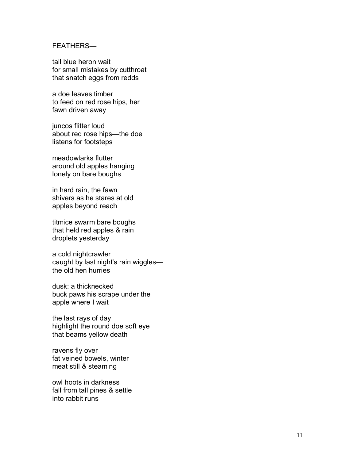#### **FEATHERS-**

tall blue heron wait for small mistakes by cutthroat that snatch eggs from redds

a doe leaves timber to feed on red rose hips, her fawn driven away

juncos flitter loud about red rose hips-the doe listens for footsteps

meadowlarks flutter around old apples hanging lonely on bare boughs

in hard rain, the fawn shivers as he stares at old apples beyond reach

titmice swarm bare boughs that held red apples & rain droplets yesterday

a cold nightcrawler caught by last night's rain wigglesthe old hen hurries

dusk: a thicknecked buck paws his scrape under the apple where I wait

the last rays of day highlight the round doe soft eye that beams yellow death

ravens fly over fat veined bowels, winter meat still & steaming

owl hoots in darkness fall from tall pines & settle into rabbit runs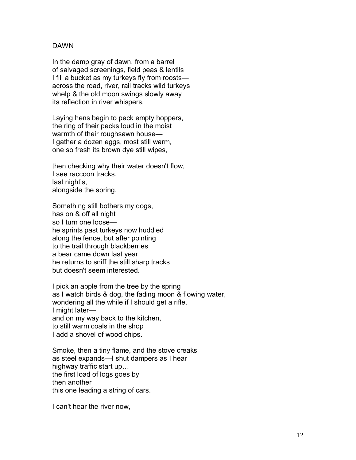## DAWN

In the damp gray of dawn, from a barrel of salvaged screenings, field peas & lentils I fill a bucket as my turkeys fly from roostsacross the road, river, rail tracks wild turkeys whelp & the old moon swings slowly away its reflection in river whispers.

Laying hens begin to peck empty hoppers, the ring of their pecks loud in the moist warmth of their roughsawn house-I gather a dozen eggs, most still warm, one so fresh its brown dye still wipes,

then checking why their water doesn't flow, I see raccoon tracks, last night's, alongside the spring.

Something still bothers my dogs, has on & off all night so I turn one loose he sprints past turkeys now huddled along the fence, but after pointing to the trail through blackberries a bear came down last year, he returns to sniff the still sharp tracks but doesn't seem interested.

I pick an apple from the tree by the spring as I watch birds & dog, the fading moon & flowing water, wondering all the while if I should get a rifle. I might laterand on my way back to the kitchen, to still warm coals in the shop I add a shovel of wood chips.

Smoke, then a tiny flame, and the stove creaks as steel expands—I shut dampers as I hear highway traffic start up... the first load of logs goes by then another this one leading a string of cars.

I can't hear the river now,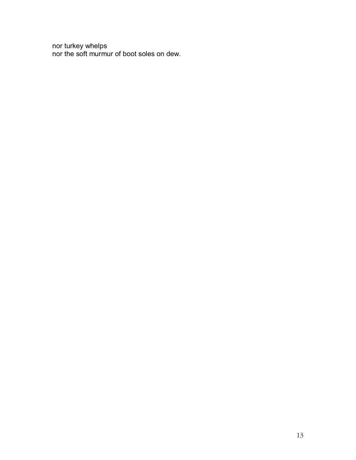nor turkey whelps nor the soft murmur of boot soles on dew.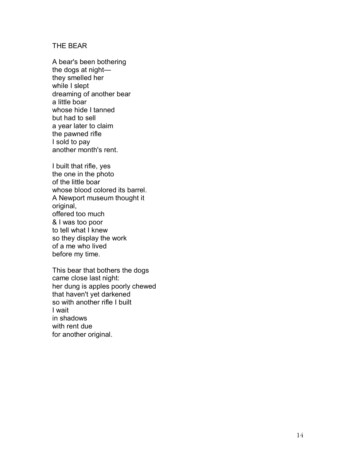### THE BEAR

A bear's been bothering the dogs at  $night$ they smelled her while I slept dreaming of another bear a little boar whose hide I tanned but had to sell a year later to claim the pawned rifle I sold to pay another month's rent.

I built that rifle, yes the one in the photo of the little boar whose blood colored its barrel. A Newport museum thought it original, offered too much & I was too poor to tell what I knew so they display the work of a me who lived before my time.

This bear that bothers the dogs came close last night: her dung is apples poorly chewed that haven't yet darkened so with another rifle I built I wait in shadows with rent due for another original.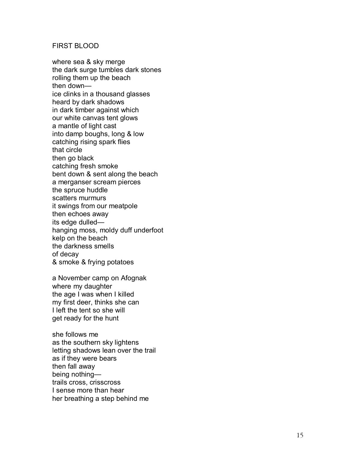#### FIRST BLOOD

where sea & sky merge the dark surge tumbles dark stones rolling them up the beach then downice clinks in a thousand glasses heard by dark shadows in dark timber against which our white canvas tent glows a mantle of light cast into damp boughs, long & low catching rising spark flies that circle then go black catching fresh smoke bent down & sent along the beach a merganser scream pierces the spruce huddle scatters murmurs it swings from our meatpole then echoes away its edge dulled hanging moss, moldy duff underfoot kelp on the beach the darkness smells of decay & smoke & frying potatoes

a November camp on Afognak where my daughter the age I was when I killed my first deer, thinks she can I left the tent so she will get ready for the hunt

she follows me as the southern sky lightens letting shadows lean over the trail as if they were bears then fall away being nothingtrails cross, crisscross I sense more than hear her breathing a step behind me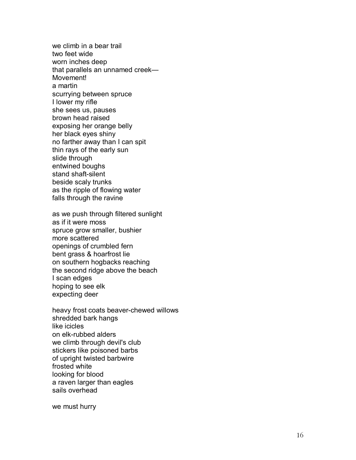we climb in a bear trail two feet wide worn inches deep that parallels an unnamed creek $-$ Movement! a martin scurrying between spruce I lower my rifle she sees us, pauses brown head raised exposing her orange belly her black eyes shiny no farther away than I can spit thin rays of the early sun slide through entwined boughs stand shaft-silent beside scaly trunks as the ripple of flowing water falls through the ravine

as we push through filtered sunlight as if it were moss spruce grow smaller, bushier more scattered openings of crumbled fern bent grass & hoarfrost lie on southern hogbacks reaching the second ridge above the beach I scan edges hoping to see elk expecting deer

heavy frost coats beaver-chewed willows shredded bark hangs like icicles on elk-rubbed alders we climb through devil's club stickers like poisoned barbs of upright twisted barbwire frosted white looking for blood a raven larger than eagles sails overhead

we must hurry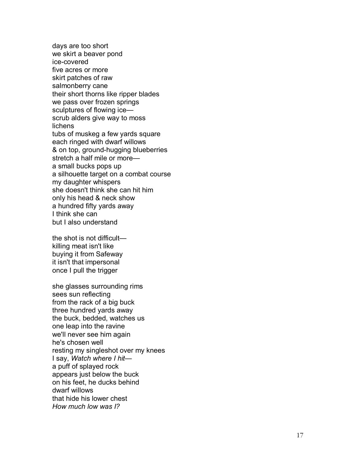days are too short we skirt a beaver pond ice-covered five acres or more skirt patches of raw salmonberry cane their short thorns like ripper blades we pass over frozen springs sculptures of flowing icescrub alders give way to moss lichens tubs of muskeg a few yards square each ringed with dwarf willows & on top, ground-hugging blueberries stretch a half mile or more $$ a small bucks pops up a silhouette target on a combat course my daughter whispers she doesn't think she can hit him only his head & neck show a hundred fifty yards away I think she can but I also understand

the shot is not difficult $\equiv$ killing meat isn't like buying it from Safeway it isn't that impersonal once I pull the trigger

she glasses surrounding rims sees sun reflecting from the rack of a big buck three hundred yards away the buck, bedded, watches us one leap into the ravine we'll never see him again he's chosen well resting my singleshot over my knees I say, *Watch where I hit* a puff of splayed rock appears just below the buck on his feet, he ducks behind dwarf willows that hide his lower chest *How much low was I?*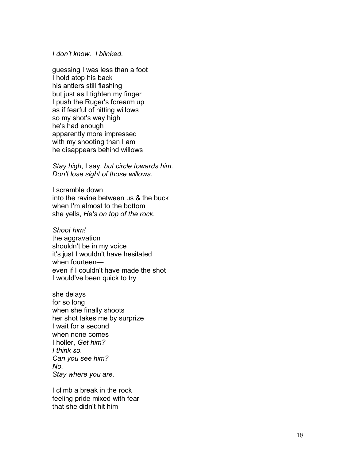#### *I don't know. I blinked.*

guessing I was less than a foot I hold atop his back his antlers still flashing but just as I tighten my finger I push the Ruger's forearm up as if fearful of hitting willows so my shot's way high he's had enough apparently more impressed with my shooting than I am he disappears behind willows

*Stay high*, I say, *but circle towards him. Don't lose sight of those willows.* 

I scramble down into the ravine between us & the buck when I'm almost to the bottom she yells, *He's on top of the rock.* 

*Shoot him!*  the aggravation shouldn't be in my voice it's just I wouldn't have hesitated when fourteen $$ even if I couldn't have made the shot I would've been quick to try

she delays for so long when she finally shoots her shot takes me by surprize I wait for a second when none comes I holler, *Get him? I think so. Can you see him? No. Stay where you are.* 

I climb a break in the rock feeling pride mixed with fear that she didn't hit him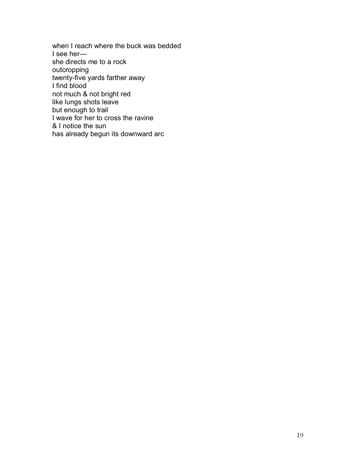when I reach where the buck was bedded I see hershe directs me to a rock outcropping twenty-five yards farther away I find blood not much & not bright red like lungs shots leave but enough to trail I wave for her to cross the ravine & I notice the sun has already begun its downward arc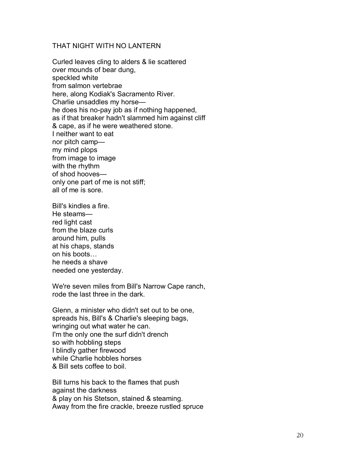## THAT NIGHT WITH NO LANTERN

Curled leaves cling to alders & lie scattered over mounds of bear dung, speckled white from salmon vertebrae here, along Kodiak's Sacramento River. Charlie unsaddles my horsehe does his no-pay job as if nothing happened, as if that breaker hadn't slammed him against cliff & cape, as if he were weathered stone. I neither want to eat nor pitch camp $$ my mind plops from image to image with the rhythm of shod hoovesonly one part of me is not stiff; all of me is sore.

Bill's kindles a fire. He steamsred light cast from the blaze curls around him, pulls at his chaps, stands on his boots... he needs a shave needed one yesterday.

We're seven miles from Bill's Narrow Cape ranch, rode the last three in the dark.

Glenn, a minister who didn't set out to be one, spreads his, Bill's & Charlie's sleeping bags, wringing out what water he can. I'm the only one the surf didn't drench so with hobbling steps I blindly gather firewood while Charlie hobbles horses & Bill sets coffee to boil.

Bill turns his back to the flames that push against the darkness & play on his Stetson, stained & steaming. Away from the fire crackle, breeze rustled spruce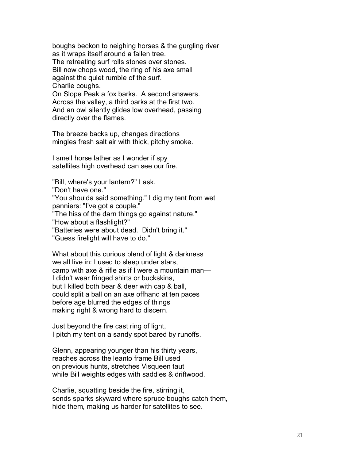boughs beckon to neighing horses & the gurgling river as it wraps itself around a fallen tree.

The retreating surf rolls stones over stones. Bill now chops wood, the ring of his axe small against the quiet rumble of the surf. Charlie coughs.

On Slope Peak a fox barks. A second answers. Across the valley, a third barks at the first two. And an owl silently glides low overhead, passing directly over the flames.

The breeze backs up, changes directions mingles fresh salt air with thick, pitchy smoke.

I smell horse lather as I wonder if spy satellites high overhead can see our fire.

"Bill, where's your lantern?" I ask.

"Don't have one."

"You shoulda said something." I dig my tent from wet panniers: "I've got a couple."

"The hiss of the darn things go against nature."

"How about a flashlight?"

"Batteries were about dead. Didn't bring it."

"Guess firelight will have to do."

What about this curious blend of light & darkness we all live in: I used to sleep under stars, camp with axe  $&$  rifle as if I were a mountain man— I didn't wear fringed shirts or buckskins, but I killed both bear & deer with cap & ball, could split a ball on an axe offhand at ten paces before age blurred the edges of things making right & wrong hard to discern.

Just beyond the fire cast ring of light, I pitch my tent on a sandy spot bared by runoffs.

Glenn, appearing younger than his thirty years, reaches across the leanto frame Bill used on previous hunts, stretches Visqueen taut while Bill weights edges with saddles & driftwood.

Charlie, squatting beside the fire, stirring it, sends sparks skyward where spruce boughs catch them, hide them, making us harder for satellites to see.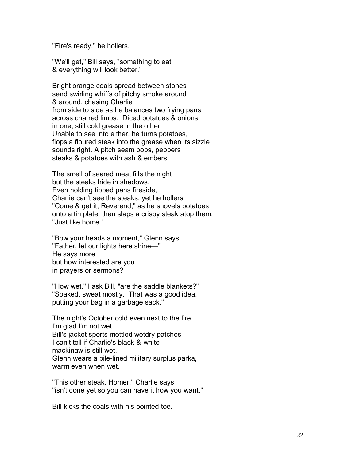"Fire's ready," he hollers.

"We'll get," Bill says, "something to eat & everything will look better."

Bright orange coals spread between stones send swirling whiffs of pitchy smoke around & around, chasing Charlie from side to side as he balances two frying pans across charred limbs. Diced potatoes & onions in one, still cold grease in the other. Unable to see into either, he turns potatoes, flops a floured steak into the grease when its sizzle sounds right. A pitch seam pops, peppers steaks & potatoes with ash & embers.

The smell of seared meat fills the night but the steaks hide in shadows. Even holding tipped pans fireside, Charlie can't see the steaks; yet he hollers "Come & get it, Reverend," as he shovels potatoes onto a tin plate, then slaps a crispy steak atop them. "Just like home."

"Bow your heads a moment," Glenn says. "Father, let our lights here shine—" He says more but how interested are you in prayers or sermons?

"How wet," I ask Bill, "are the saddle blankets?" "Soaked, sweat mostly. That was a good idea, putting your bag in a garbage sack."

The night's October cold even next to the fire. I'm glad I'm not wet. Bill's jacket sports mottled wetdry patches— I can't tell if Charlie's black-&-white mackinaw is still wet. Glenn wears a pile-lined military surplus parka, warm even when wet.

"This other steak, Homer," Charlie says "isn't done yet so you can have it how you want."

Bill kicks the coals with his pointed toe.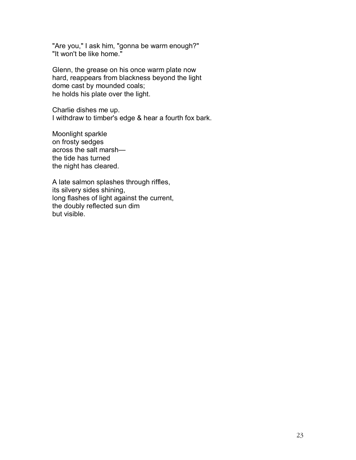"Are you," I ask him, "gonna be warm enough?" "It won't be like home."

Glenn, the grease on his once warm plate now hard, reappears from blackness beyond the light dome cast by mounded coals; he holds his plate over the light.

Charlie dishes me up. I withdraw to timber's edge & hear a fourth fox bark.

Moonlight sparkle on frosty sedges across the salt marshthe tide has turned the night has cleared.

A late salmon splashes through riffles, its silvery sides shining, long flashes of light against the current, the doubly reflected sun dim but visible.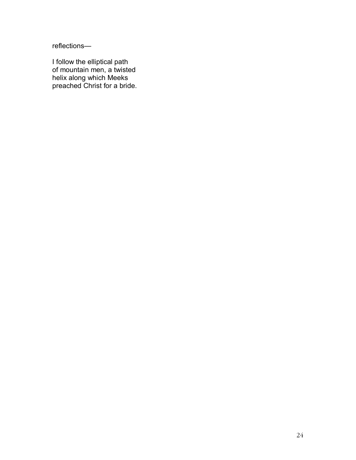reflections-

I follow the elliptical path of mountain men, a twisted helix along which Meeks preached Christ for a bride.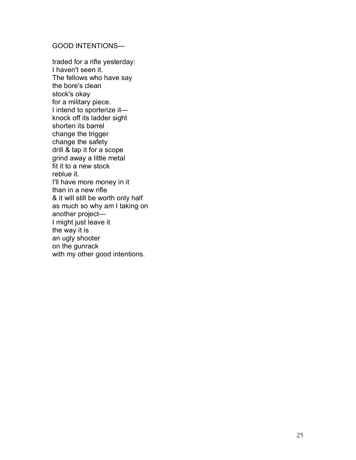## **GOOD INTENTIONS-**

traded for a rifle yesterday: I haven't seen it. The fellows who have say the bore's clean stock's okay for a military piece. I intend to sporterize it $$ knock off its ladder sight shorten its barrel change the trigger change the safety drill & tap it for a scope grind away a little metal fit it to a new stock reblue it. I'll have more money in it than in a new rifle & it will still be worth only half as much so why am I taking on another project-I might just leave it the way it is an ugly shooter on the gunrack with my other good intentions.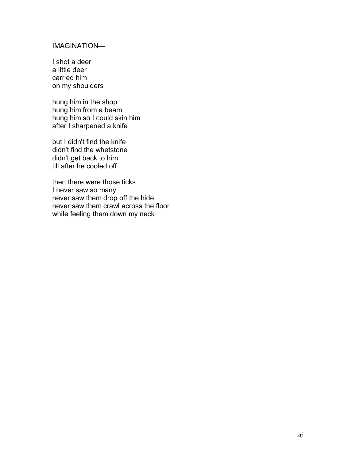# IMAGINATION-

I shot a deer a little deer carried him on my shoulders

hung him in the shop hung him from a beam hung him so I could skin him after I sharpened a knife

but I didn't find the knife didn't find the whetstone didn't get back to him till after he cooled off

then there were those ticks I never saw so many never saw them drop off the hide never saw them crawl across the floor while feeling them down my neck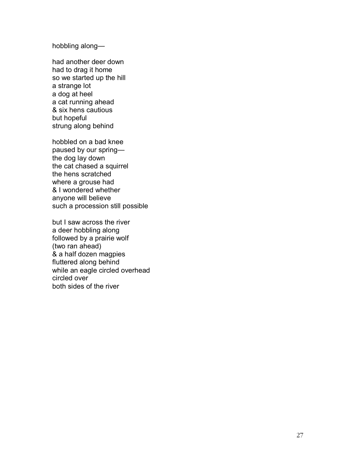hobbling along-

had another deer down had to drag it home so we started up the hill a strange lot a dog at heel a cat running ahead & six hens cautious but hopeful strung along behind

hobbled on a bad knee paused by our springthe dog lay down the cat chased a squirrel the hens scratched where a grouse had & I wondered whether anyone will believe such a procession still possible

but I saw across the river a deer hobbling along followed by a prairie wolf (two ran ahead) & a half dozen magpies fluttered along behind while an eagle circled overhead circled over both sides of the river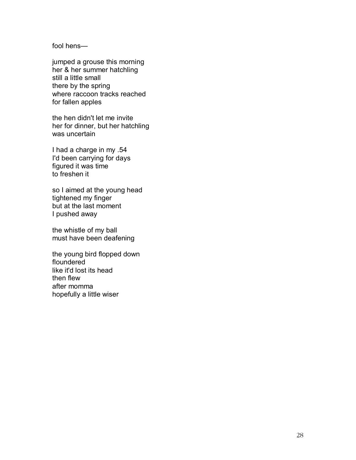$fool$  hens $-$ 

jumped a grouse this morning her & her summer hatchling still a little small there by the spring where raccoon tracks reached for fallen apples

the hen didn't let me invite her for dinner, but her hatchling was uncertain

I had a charge in my .54 I'd been carrying for days figured it was time to freshen it

so I aimed at the young head tightened my finger but at the last moment I pushed away

the whistle of my ball must have been deafening

the young bird flopped down floundered like it'd lost its head then flew after momma hopefully a little wiser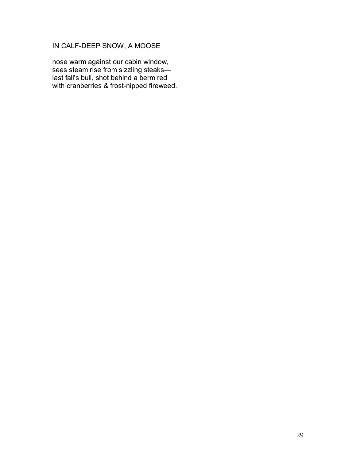# IN CALF-DEEP SNOW, A MOOSE

nose warm against our cabin window, sees steam rise from sizzling steakslast fall's bull, shot behind a berm red with cranberries & frost-nipped fireweed.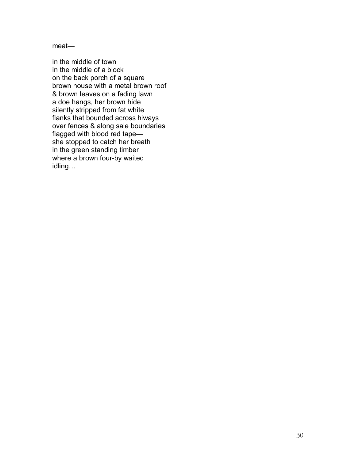$meat$ 

in the middle of town in the middle of a block on the back porch of a square brown house with a metal brown roof & brown leaves on a fading lawn a doe hangs, her brown hide silently stripped from fat white flanks that bounded across hiways over fences & along sale boundaries flagged with blood red tapeshe stopped to catch her breath in the green standing timber where a brown four-by waited idling...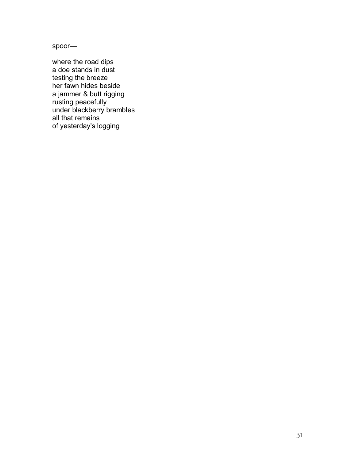spoor-

where the road dips a doe stands in dust testing the breeze her fawn hides beside a jammer & butt rigging rusting peacefully under blackberry brambles all that remains of yesterday's logging